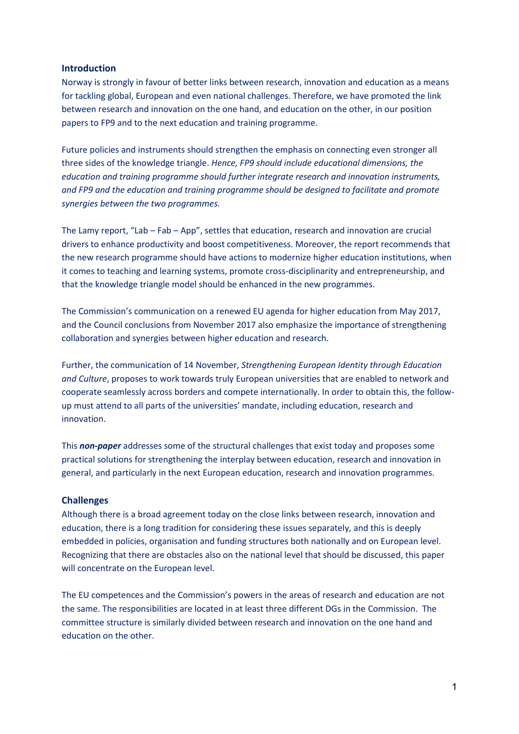#### **Introduction**

Norway is strongly in favour of better links between research, innovation and education as a means for tackling global, European and even national challenges. Therefore, we have promoted the link between research and innovation on the one hand, and education on the other, in our position papers to FP9 and to the next education and training programme.

Future policies and instruments should strengthen the emphasis on connecting even stronger all three sides of the knowledge triangle. *Hence, FP9 should include educational dimensions, the education and training programme should further integrate research and innovation instruments, and FP9 and the education and training programme should be designed to facilitate and promote synergies between the two programmes.* 

The Lamy report, "Lab – Fab – App", settles that education, research and innovation are crucial drivers to enhance productivity and boost competitiveness. Moreover, the report recommends that the new research programme should have actions to modernize higher education institutions, when it comes to teaching and learning systems, promote cross-disciplinarity and entrepreneurship, and that the knowledge triangle model should be enhanced in the new programmes.

The Commission's communication on a renewed EU agenda for higher education from May 2017, and the Council conclusions from November 2017 also emphasize the importance of strengthening collaboration and synergies between higher education and research.

Further, the communication of 14 November, *Strengthening European Identity through Education and Culture*, proposes to work towards truly European universities that are enabled to network and cooperate seamlessly across borders and compete internationally. In order to obtain this, the followup must attend to all parts of the universities' mandate, including education, research and innovation.

This *non-paper* addresses some of the structural challenges that exist today and proposes some practical solutions for strengthening the interplay between education, research and innovation in general, and particularly in the next European education, research and innovation programmes.

#### **Challenges**

Although there is a broad agreement today on the close links between research, innovation and education, there is a long tradition for considering these issues separately, and this is deeply embedded in policies, organisation and funding structures both nationally and on European level. Recognizing that there are obstacles also on the national level that should be discussed, this paper will concentrate on the European level.

The EU competences and the Commission's powers in the areas of research and education are not the same. The responsibilities are located in at least three different DGs in the Commission. The committee structure is similarly divided between research and innovation on the one hand and education on the other.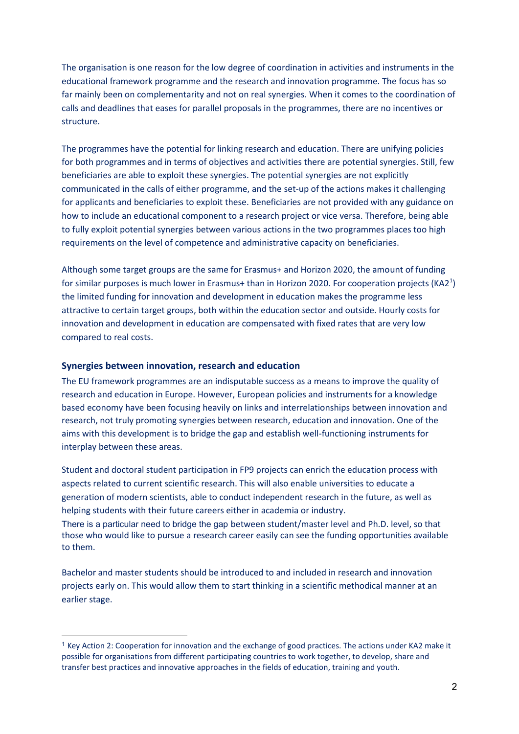The organisation is one reason for the low degree of coordination in activities and instruments in the educational framework programme and the research and innovation programme. The focus has so far mainly been on complementarity and not on real synergies. When it comes to the coordination of calls and deadlines that eases for parallel proposals in the programmes, there are no incentives or structure.

The programmes have the potential for linking research and education. There are unifying policies for both programmes and in terms of objectives and activities there are potential synergies. Still, few beneficiaries are able to exploit these synergies. The potential synergies are not explicitly communicated in the calls of either programme, and the set-up of the actions makes it challenging for applicants and beneficiaries to exploit these. Beneficiaries are not provided with any guidance on how to include an educational component to a research project or vice versa. Therefore, being able to fully exploit potential synergies between various actions in the two programmes places too high requirements on the level of competence and administrative capacity on beneficiaries.

Although some target groups are the same for Erasmus+ and Horizon 2020, the amount of funding for similar purposes is much lower in Erasmus+ than in Horizon 2020. For cooperation projects (KA2<sup>1</sup>) the limited funding for innovation and development in education makes the programme less attractive to certain target groups, both within the education sector and outside. Hourly costs for innovation and development in education are compensated with fixed rates that are very low compared to real costs.

### **Synergies between innovation, research and education**

1

The EU framework programmes are an indisputable success as a means to improve the quality of research and education in Europe. However, European policies and instruments for a knowledge based economy have been focusing heavily on links and interrelationships between innovation and research, not truly promoting synergies between research, education and innovation. One of the aims with this development is to bridge the gap and establish well-functioning instruments for interplay between these areas.

Student and doctoral student participation in FP9 projects can enrich the education process with aspects related to current scientific research. This will also enable universities to educate a generation of modern scientists, able to conduct independent research in the future, as well as helping students with their future careers either in academia or industry. There is a particular need to bridge the gap between student/master level and Ph.D. level, so that

those who would like to pursue a research career easily can see the funding opportunities available to them.

Bachelor and master students should be introduced to and included in research and innovation projects early on. This would allow them to start thinking in a scientific methodical manner at an earlier stage.

 $1$  Key Action 2: Cooperation for innovation and the exchange of good practices. The actions under KA2 make it possible for organisations from different participating countries to work together, to develop, share and transfer best practices and innovative approaches in the fields of education, training and youth.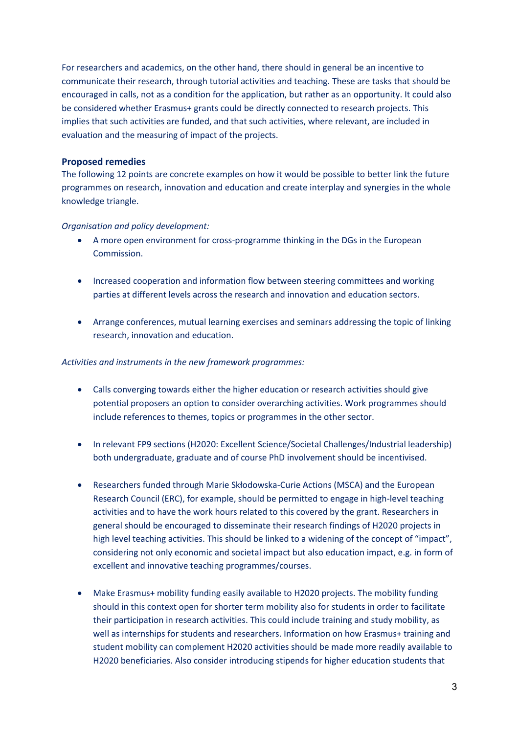For researchers and academics, on the other hand, there should in general be an incentive to communicate their research, through tutorial activities and teaching. These are tasks that should be encouraged in calls, not as a condition for the application, but rather as an opportunity. It could also be considered whether Erasmus+ grants could be directly connected to research projects. This implies that such activities are funded, and that such activities, where relevant, are included in evaluation and the measuring of impact of the projects.

## **Proposed remedies**

The following 12 points are concrete examples on how it would be possible to better link the future programmes on research, innovation and education and create interplay and synergies in the whole knowledge triangle.

## *Organisation and policy development:*

- A more open environment for cross-programme thinking in the DGs in the European Commission.
- Increased cooperation and information flow between steering committees and working parties at different levels across the research and innovation and education sectors.
- Arrange conferences, mutual learning exercises and seminars addressing the topic of linking research, innovation and education.

### *Activities and instruments in the new framework programmes:*

- Calls converging towards either the higher education or research activities should give potential proposers an option to consider overarching activities. Work programmes should include references to themes, topics or programmes in the other sector.
- In relevant FP9 sections (H2020: Excellent Science/Societal Challenges/Industrial leadership) both undergraduate, graduate and of course PhD involvement should be incentivised.
- Researchers funded through Marie Skłodowska-Curie Actions (MSCA) and the European Research Council (ERC), for example, should be permitted to engage in high-level teaching activities and to have the work hours related to this covered by the grant. Researchers in general should be encouraged to disseminate their research findings of H2020 projects in high level teaching activities. This should be linked to a widening of the concept of "impact", considering not only economic and societal impact but also education impact, e.g. in form of excellent and innovative teaching programmes/courses.
- Make Erasmus+ mobility funding easily available to H2020 projects. The mobility funding should in this context open for shorter term mobility also for students in order to facilitate their participation in research activities. This could include training and study mobility, as well as internships for students and researchers. Information on how Erasmus+ training and student mobility can complement H2020 activities should be made more readily available to H2020 beneficiaries. Also consider introducing stipends for higher education students that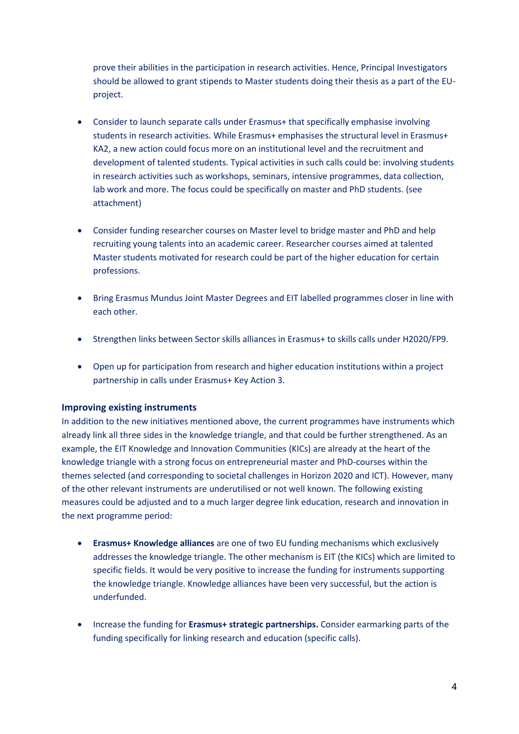prove their abilities in the participation in research activities. Hence, Principal Investigators should be allowed to grant stipends to Master students doing their thesis as a part of the EUproject.

- Consider to launch separate calls under Erasmus+ that specifically emphasise involving students in research activities. While Erasmus+ emphasises the structural level in Erasmus+ KA2, a new action could focus more on an institutional level and the recruitment and development of talented students. Typical activities in such calls could be: involving students in research activities such as workshops, seminars, intensive programmes, data collection, lab work and more. The focus could be specifically on master and PhD students. (see attachment)
- Consider funding researcher courses on Master level to bridge master and PhD and help recruiting young talents into an academic career. Researcher courses aimed at talented Master students motivated for research could be part of the higher education for certain professions.
- Bring Erasmus Mundus Joint Master Degrees and EIT labelled programmes closer in line with each other.
- Strengthen links between Sector skills alliances in Erasmus+ to skills calls under H2020/FP9.
- Open up for participation from research and higher education institutions within a project partnership in calls under Erasmus+ Key Action 3.

# **Improving existing instruments**

In addition to the new initiatives mentioned above, the current programmes have instruments which already link all three sides in the knowledge triangle, and that could be further strengthened. As an example, the EIT Knowledge and Innovation Communities (KICs) are already at the heart of the knowledge triangle with a strong focus on entrepreneurial master and PhD-courses within the themes selected (and corresponding to societal challenges in Horizon 2020 and ICT). However, many of the other relevant instruments are underutilised or not well known. The following existing measures could be adjusted and to a much larger degree link education, research and innovation in the next programme period:

- **Erasmus+ Knowledge alliances** are one of two EU funding mechanisms which exclusively addresses the knowledge triangle. The other mechanism is EIT (the KICs) which are limited to specific fields. It would be very positive to increase the funding for instruments supporting the knowledge triangle. Knowledge alliances have been very successful, but the action is underfunded.
- Increase the funding for **Erasmus+ strategic partnerships.** Consider earmarking parts of the funding specifically for linking research and education (specific calls).